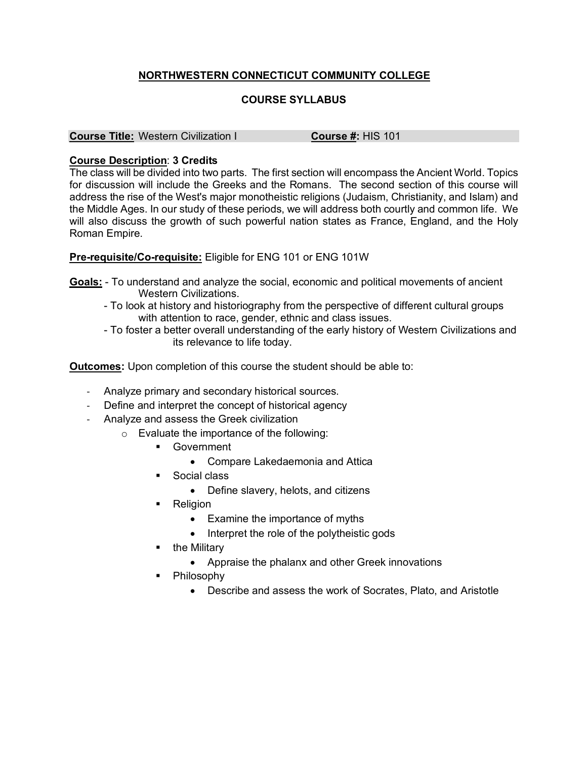## **NORTHWESTERN CONNECTICUT COMMUNITY COLLEGE**

## **COURSE SYLLABUS**

**Course Title:** Western Civilization I **Course #:** HIS 101

## **Course Description**: **3 Credits**

The class will be divided into two parts. The first section will encompass the Ancient World. Topics for discussion will include the Greeks and the Romans. The second section of this course will address the rise of the West's major monotheistic religions (Judaism, Christianity, and Islam) and the Middle Ages. In our study of these periods, we will address both courtly and common life. We will also discuss the growth of such powerful nation states as France, England, and the Holy Roman Empire.

## **Pre-requisite/Co-requisite:** Eligible for ENG 101 or ENG 101W

- **Goals:** To understand and analyze the social, economic and political movements of ancient Western Civilizations.
	- To look at history and historiography from the perspective of different cultural groups with attention to race, gender, ethnic and class issues.
	- To foster a better overall understanding of the early history of Western Civilizations and its relevance to life today.

**Outcomes:** Upon completion of this course the student should be able to:

- Analyze primary and secondary historical sources.
- Define and interpret the concept of historical agency
- Analyze and assess the Greek civilization
	- o Evaluate the importance of the following:
		- § Government
			- Compare Lakedaemonia and Attica
		- Social class
			- Define slavery, helots, and citizens
		- Religion
			- Examine the importance of myths
			- Interpret the role of the polytheistic gods
		- the Military
			- Appraise the phalanx and other Greek innovations
		- Philosophy
			- Describe and assess the work of Socrates, Plato, and Aristotle